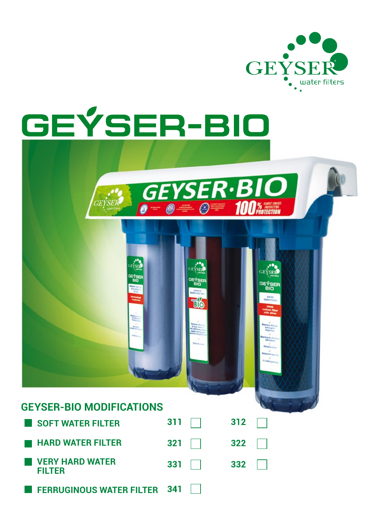

# **GEÝSER-BIO**

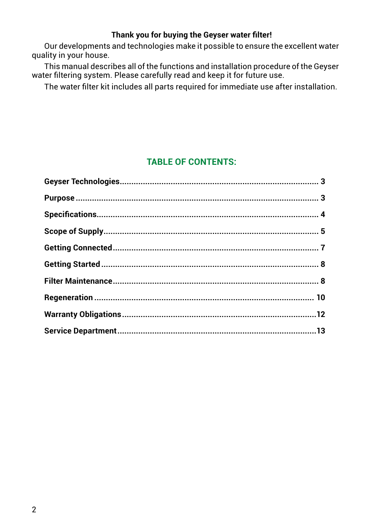### **Thank you for buying the Geyser water filter!**

Our developments and technologies make it possible to ensure the excellent water quality in your house.

This manual describes all of the functions and installation procedure of the Geyser water filtering system. Please carefully read and keep it for future use.

The water filter kit includes all parts required for immediate use after installation.

# **Table of Contents:**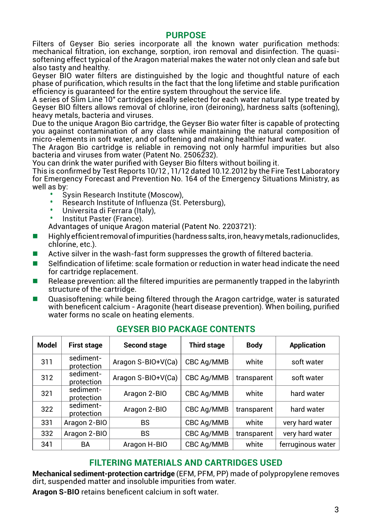#### **purpose**

Filters of Geyser Bio series incorporate all the known water purification methods: mechanical filtration, ion exchange, sorption, iron removal and disinfection. The quasisoftening effect typical of the Aragon material makes the water not only clean and safe but also tasty and healthy.

Geyser BIO water filters are distinguished by the logic and thoughtful nature of each phase of purification, which results in the fact that the long lifetime and stable purification efficiency is guaranteed for the entire system throughout the service life.

A series of Slim Line 10" cartridges ideally selected for each water natural type treated by Geyser BIO filters allows removal of chlorine, iron (deironing), hardness salts (softening), heavy metals, bacteria and viruses.

Due to the unique Aragon Bio cartridge, the Geyser Bio water filter is capable of protecting you against contamination of any class while maintaining the natural composition of micro-elements in soft water, and of softening and making healthier hard water.

The Aragon Bio cartridge is reliable in removing not only harmful impurities but also bacteria and viruses from water (Patent No. 2506232).

You can drink the water purified with Geyser Bio filters without boiling it.

This is confirmed by Test Reports 10/12 , 11/12 dated 10.12.2012 by the Fire Test Laboratory for Emergency Forecast and Prevention No. 164 of the Emergency Situations Ministry, as well as by:

- Sysin Research Institute (Moscow),
- Research Institute of Influenza (St. Petersburg),
- Universita di Ferrara (Italy),
- Institut Paster (France).

Advantages of unique Aragon material (Patent No. 2203721):

- Highly efficient removal of impurities (hardness salts, iron, heavy metals, radionuclides, chlorine, etc.).
- Active silver in the wash-fast form suppresses the growth of filtered bacteria.
- Selfindication of lifetime: scale formation or reduction in water head indicate the need for cartridge replacement.
- Release prevention: all the filtered impurities are permanently trapped in the labyrinth structure of the cartridge.
- Quasisoftening: while being filtered through the Aragon cartridge, water is saturated with beneficent calcium - Aragonite (heart disease prevention). When boiling, purified water forms no scale on heating elements.

| Model | <b>First stage</b>      | Second stage       | <b>Third stage</b> | <b>Body</b> | <b>Application</b> |
|-------|-------------------------|--------------------|--------------------|-------------|--------------------|
| 311   | sediment-<br>protection | Aragon S-BIO+V(Ca) | CBC Ag/MMB         | white       | soft water         |
| 312   | sediment-<br>protection | Aragon S-BIO+V(Ca) | CBC Aq/MMB         | transparent | soft water         |
| 321   | sediment-<br>protection | Aragon 2-BIO       | CBC Ag/MMB         | white       | hard water         |
| 322   | sediment-<br>protection | Aragon 2-BIO       | CBC Ag/MMB         | transparent | hard water         |
| 331   | Aragon 2-BIO            | BS                 | CBC Ag/MMB         | white       | very hard water    |
| 332   | Aragon 2-BIO            | <b>BS</b>          | CBC Ag/MMB         | transparent | very hard water    |
| 341   | BA                      | Aragon H-BIO       | CBC Aq/MMB         | white       | ferruginous water  |

# **Geyser Bio package contents**

# **filtering materials and cartridges used**

**Mechanical sediment-protection cartridge** (EFМ, PFМ, PP) made of polypropylene removes dirt, suspended matter and insoluble impurities from water.

**Aragon S-BIO** retains beneficent calcium in soft water.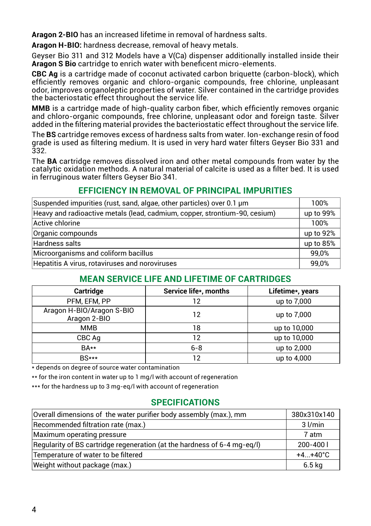**Aragon 2-BIO** has an increased lifetime in removal of hardness salts.

**Aragon H-BIO:** hardness decrease, removal of heavy metals.

Geyser Bio 311 and 312 Models have a V(Ca) dispenser additionally installed inside their **Aragon S Bio** cartridge to enrich water with beneficent micro-elements.

**CBC Ag** is a cartridge made of coconut activated carbon briquette (carbon-block), which efficiently removes organic and chloro-organic compounds, free chlorine, unpleasant odor, improves organoleptic properties of water. Silver contained in the cartridge provides the bacteriostatic effect throughout the service life.

**ММB** is a cartridge made of high-quality carbon fiber, which efficiently removes organic and chloro-organic compounds, free chlorine, unpleasant odor and foreign taste. Silver added in the filtering material provides the bacteriostatic effect throughout the service life.

The **BS** cartridge removes excess of hardness salts from water. Ion-exchange resin of food grade is used as filtering medium. It is used in very hard water filters Geyser Bio 331 and 332.

The **BA** cartridge removes dissolved iron and other metal compounds from water by the catalytic oxidation methods. A natural material of calcite is used as a filter bed. It is used in ferruginous water filters Geyser Bio 341.

# **EFFICIENCY IN REMOVAL OF PRINCIPAL IMPURITIES**

| Suspended impurities (rust, sand, algae, other particles) over 0.1 um      |           |  |
|----------------------------------------------------------------------------|-----------|--|
| Heavy and radioactive metals (lead, cadmium, copper, strontium-90, cesium) | up to 99% |  |
| Active chlorine                                                            | 100%      |  |
| Organic compounds                                                          | up to 92% |  |
| Hardness salts                                                             | up to 85% |  |
| Microorganisms and coliform bacillus                                       | 99.0%     |  |
| Hepatitis A virus, rotaviruses and noroviruses                             | 99,0%     |  |

# **MEAN SERVICE LIFE AND LIFETIME OF CARTRIDGES**

| Cartridge                                 | Service life*, months | Lifetime*, years |
|-------------------------------------------|-----------------------|------------------|
| PFM, EFM, PP                              | 12                    | up to 7,000      |
| Aragon H-BIO/Aragon S-BIO<br>Aragon 2-BIO | 12                    | up to 7,000      |
| <b>MMB</b>                                | 18                    | up to 10,000     |
| CBC Aq                                    | 12                    | up to 10,000     |
| BA**                                      | $6 - 8$               | up to 2,000      |
| $BS***$                                   | 12                    | up to 4,000      |

\* depends on degree of source water contamination

\*\* for the iron content in water up to 1 mg/l with account of regeneration

\*\*\* for the hardness up to 3 mg-eg/l with account of regeneration

# **SPECIFICATIONS**

| Overall dimensions of the water purifier body assembly (max.), mm        | 380x310x140           |
|--------------------------------------------------------------------------|-----------------------|
| Recommended filtration rate (max.)                                       | $3$ $l/min$           |
| Maximum operating pressure                                               | 7 atm                 |
| Regularity of BS cartridge regeneration (at the hardness of 6-4 mg-eq/l) | $200 - 4001$          |
| Temperature of water to be filtered                                      | $+4.1 + 40^{\circ}$ C |
| Weight without package (max.)                                            | 6.5 kg                |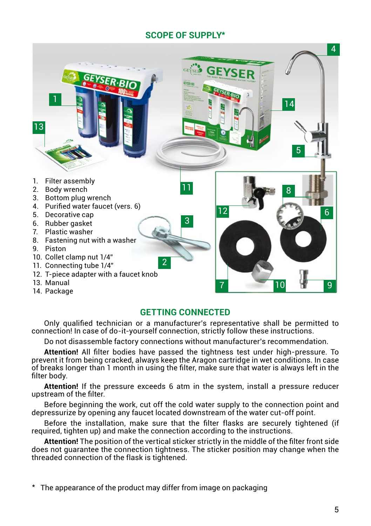# **SCOPE OF SUPPLY\***



# **GETTING CONNECTED**

Only qualified technician or a manufacturer's representative shall be permitted to connection! In case of do-it-yourself connection, strictly follow these instructions.

Do not disassemble factory connections without manufacturer's recommendation.

**Attention!** All filter bodies have passed the tightness test under high-pressure. To prevent it from being cracked, always keep the Aragon cartridge in wet conditions. In case of breaks longer than 1 month in using the filter, make sure that water is always left in the filter body.

**Attention!** If the pressure exceeds 6 atm in the system, install a pressure reducer upstream of the filter.

Before beginning the work, cut off the cold water supply to the connection point and depressurize by opening any faucet located downstream of the water cut-off point.

Before the installation, make sure that the filter flasks are securely tightened (if required, tighten up) and make the connection according to the instructions.

**Attention!** The position of the vertical sticker strictly in the middle of the filter front side does not guarantee the connection tightness. The sticker position may change when the threaded connection of the flask is tightened.

\* The appearance of the product may differ from image on packaging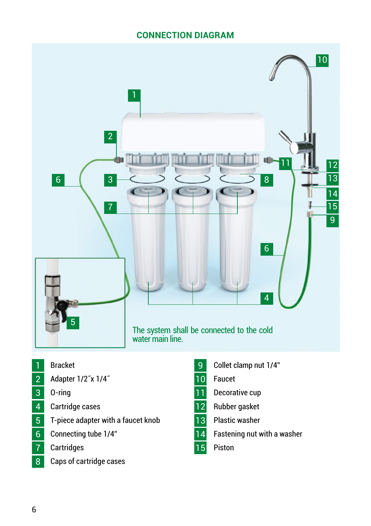# **CONNECTION DIAGRAM**



- 1 Bracket
- 2 Adapter 1/2" x 1/4"
- O-ring
- Cartridge cases
- T-piece adapter with a faucet knob
- Connecting tube 1/4"
- Cartridges
- 8 Caps of cartridge cases
- 9 Collet clamp nut 1/4"
- Faucet
- 11 Decorative cup
- 12 Rubber gasket
- 13 Plastic washer
- 14 Fastening nut with a washer
- 15 Piston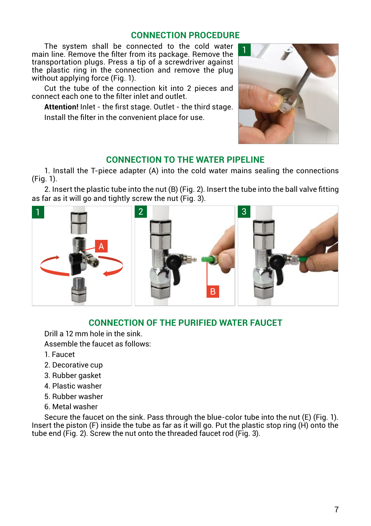# **CONNECTION PROCEDURE**

The system shall be connected to the cold water main line. Remove the filter from its package. Remove the transportation plugs. Press a tip of a screwdriver against the plastic ring in the connection and remove the plug without applying force (Fig. 1).

Cut the tube of the connection kit into 2 pieces and connect each one to the filter inlet and outlet.

**Attention!** Inlet - the first stage. Outlet - the third stage. Install the filter in the convenient place for use.



# **CONNECTION TO THE WATER PIPELINE**

1. Install the T-piece adapter (А) into the cold water mains sealing the connections (Fig. 1).

2. Insert the plastic tube into the nut (В) (Fig. 2). Insert the tube into the ball valve fitting as far as it will go and tightly screw the nut (Fig. 3).



# **CONNECTION OF THE PURIFIED WATER FAUCET**

Drill a 12 mm hole in the sink.

Assemble the faucet as follows:

- 1. Faucet
- 2. Decorative cup
- 3. Rubber gasket
- 4. Plastic washer
- 5. Rubber washer
- 6. Metal washer

Secure the faucet on the sink. Pass through the blue-color tube into the nut (Е) (Fig. 1). Insert the piston (F) inside the tube as far as it will go. Put the plastic stop ring (H) onto the tube end (Fig. 2). Screw the nut onto the threaded faucet rod (Fig. 3).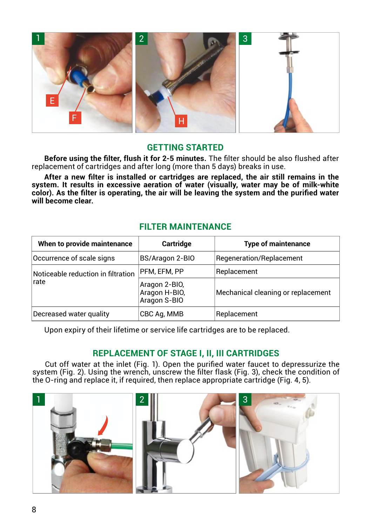

#### **GETTING STARTED**

**Before using the filter, flush it for 2-5 minutes.** The filter should be also flushed after replacement of cartridges and after long (more than 5 days) breaks in use.

**After a new filter is installed or cartridges are replaced, the air still remains in the system. It results in excessive aeration of water (visually, water may be of milk-white color). As the filter is operating, the air will be leaving the system and the purified water will become clear.**

#### **FILTER MAINTENANCE**

| When to provide maintenance                        | Cartridge                                      | <b>Type of maintenance</b>         |
|----------------------------------------------------|------------------------------------------------|------------------------------------|
| Occurrence of scale signs                          | BS/Aragon 2-BIO                                | Regeneration/Replacement           |
| Noticeable reduction in filtration<br><b>Irate</b> | PFM, EFM, PP                                   | Replacement                        |
|                                                    | Aragon 2-BIO,<br>Aragon H-BIO,<br>Aragon S-BIO | Mechanical cleaning or replacement |
| Decreased water quality                            | CBC Ag, MMB                                    | Replacement                        |

Upon expiry of their lifetime or service life cartridges are to be replaced.

# **REPLACEMENT OF STAGE I, II, III CARTRIDGES**

Cut off water at the inlet (Fig. 1). Open the purified water faucet to depressurize the system (Fig. 2). Using the wrench, unscrew the filter flask (Fig. 3), check the condition of the O-ring and replace it, if required, then replace appropriate cartridge (Fig. 4, 5).

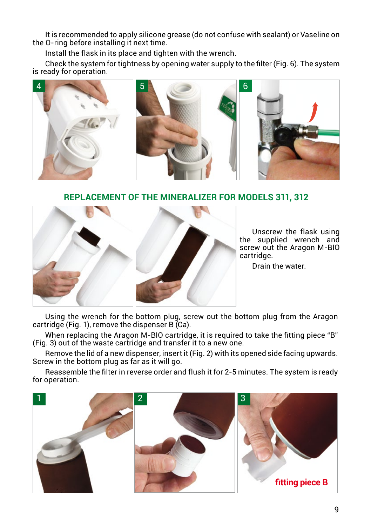It is recommended to apply silicone grease (do not confuse with sealant) or Vaseline on the O-ring before installing it next time.

Install the flask in its place and tighten with the wrench.

Check the system for tightness by opening water supply to the filter (Fig. 6). The system is ready for operation.



# **REPLACEMENT OF THE MINERALIZER FOR MODELS 311, 312**



Unscrew the flask using the supplied wrench and screw out the Aragon M-BIO cartridge.

Drain the water.

Using the wrench for the bottom plug, screw out the bottom plug from the Aragon cartridge (Fig. 1), remove the dispenser B (Ca).

When replacing the Aragon M-BIO cartridge, it is required to take the fitting piece "B" (Fig. 3) out of the waste cartridge and transfer it to a new one.

Remove the lid of a new dispenser, insert it (Fig. 2) with its opened side facing upwards. Screw in the bottom plug as far as it will go.

Reassemble the filter in reverse order and flush it for 2-5 minutes. The system is ready for operation.

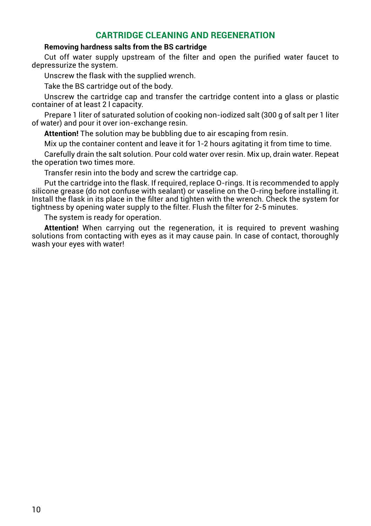# **CARTRIDGE CLEANING AND REGENERATION**

#### **Removing hardness salts from the BS cartridge**

Cut off water supply upstream of the filter and open the purified water faucet to depressurize the system.

Unscrew the flask with the supplied wrench.

Take the BS cartridge out of the body.

Unscrew the cartridge cap and transfer the cartridge content into a glass or plastic container of at least 2 l capacity.

Prepare 1 liter of saturated solution of cooking non-iodized salt (300 g of salt per 1 liter of water) and pour it over ion-exchange resin.

**Attention!** The solution may be bubbling due to air escaping from resin.

Mix up the container content and leave it for 1-2 hours agitating it from time to time.

Carefully drain the salt solution. Pour cold water over resin. Mix up, drain water. Repeat the operation two times more.

Transfer resin into the body and screw the cartridge cap.

Put the cartridge into the flask. If required, replace O-rings. It is recommended to apply silicone grease (do not confuse with sealant) or vaseline on the O-ring before installing it. Install the flask in its place in the filter and tighten with the wrench. Check the system for tightness by opening water supply to the filter. Flush the filter for 2-5 minutes.

The system is ready for operation.

**Attention!** When carrying out the regeneration, it is required to prevent washing solutions from contacting with eyes as it may cause pain. In case of contact, thoroughly wash your eyes with water!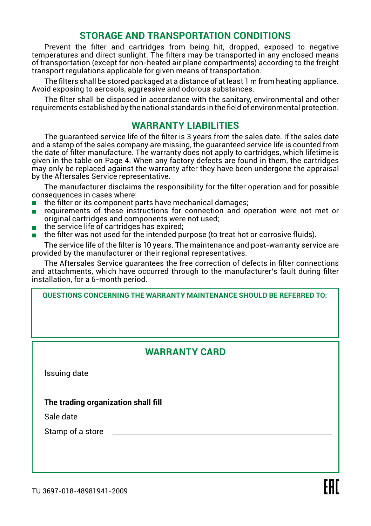# **STORAGE AND TRANSPORTATION CONDITIONS**

Prevent the filter and cartridges from being hit, dropped, exposed to negative temperatures and direct sunlight. The filters may be transported in any enclosed means of transportation (except for non-heated air plane compartments) according to the freight transport regulations applicable for given means of transportation.

The filters shall be stored packaged at a distance of at least 1 m from heating appliance. Avoid exposing to aerosols, aggressive and odorous substances.

The filter shall be disposed in accordance with the sanitary, environmental and other requirements established by the national standards in the field of environmental protection.

## **WARRANTY LIABILITIES**

The guaranteed service life of the filter is 3 years from the sales date. If the sales date and a stamp of the sales company are missing, the guaranteed service life is counted from the date of filter manufacture. The warranty does not apply to cartridges, which lifetime is given in the table on Page 4. When any factory defects are found in them, the cartridges may only be replaced against the warranty after they have been undergone the appraisal by the Aftersales Service representative.

The manufacturer disclaims the responsibility for the filter operation and for possible consequences in cases where:

- $\blacksquare$  the filter or its component parts have mechanical damages;
- requirements of these instructions for connection and operation were not met or original cartridges and components were not used;
- the service life of cartridges has expired;
- the filter was not used for the intended purpose (to treat hot or corrosive fluids).

The service life of the filter is 10 years. The maintenance and post-warranty service are provided by the manufacturer or their regional representatives.

The Aftersales Service guarantees the free correction of defects in filter connections and attachments, which have occurred through to the manufacturer's fault during filter installation, for a 6-month period.

**QUESTIONS CONCERNING THE WARRANTY MAINTENANCE SHOULD BE REFERRED TO:**

# **WARRANTY CARD**

Issuing date

**The trading organization shall fill**

Sale date

Stamp of a store